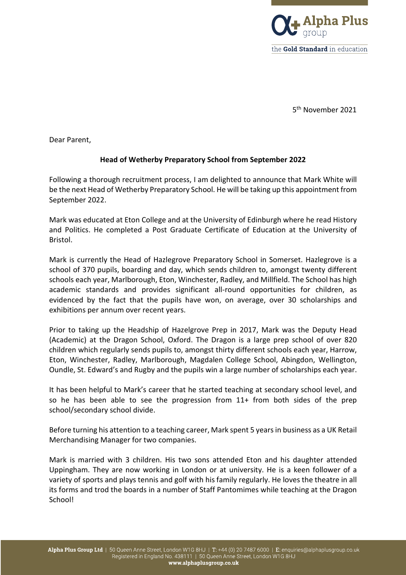

5th November 2021

Dear Parent,

## **Head of Wetherby Preparatory School from September 2022**

Following a thorough recruitment process, I am delighted to announce that Mark White will be the next Head of Wetherby Preparatory School. He will be taking up this appointment from September 2022.

Mark was educated at Eton College and at the University of Edinburgh where he read History and Politics. He completed a Post Graduate Certificate of Education at the University of Bristol.

Mark is currently the Head of Hazlegrove Preparatory School in Somerset. Hazlegrove is a school of 370 pupils, boarding and day, which sends children to, amongst twenty different schools each year, Marlborough, Eton, Winchester, Radley, and Millfield. The School has high academic standards and provides significant all-round opportunities for children, as evidenced by the fact that the pupils have won, on average, over 30 scholarships and exhibitions per annum over recent years.

Prior to taking up the Headship of Hazelgrove Prep in 2017, Mark was the Deputy Head (Academic) at the Dragon School, Oxford. The Dragon is a large prep school of over 820 children which regularly sends pupils to, amongst thirty different schools each year, Harrow, Eton, Winchester, Radley, Marlborough, Magdalen College School, Abingdon, Wellington, Oundle, St. Edward's and Rugby and the pupils win a large number of scholarships each year.

It has been helpful to Mark's career that he started teaching at secondary school level, and so he has been able to see the progression from 11+ from both sides of the prep school/secondary school divide.

Before turning his attention to a teaching career, Mark spent 5 years in business as a UK Retail Merchandising Manager for two companies.

Mark is married with 3 children. His two sons attended Eton and his daughter attended Uppingham. They are now working in London or at university. He is a keen follower of a variety of sports and plays tennis and golf with his family regularly. He loves the theatre in all its forms and trod the boards in a number of Staff Pantomimes while teaching at the Dragon School!